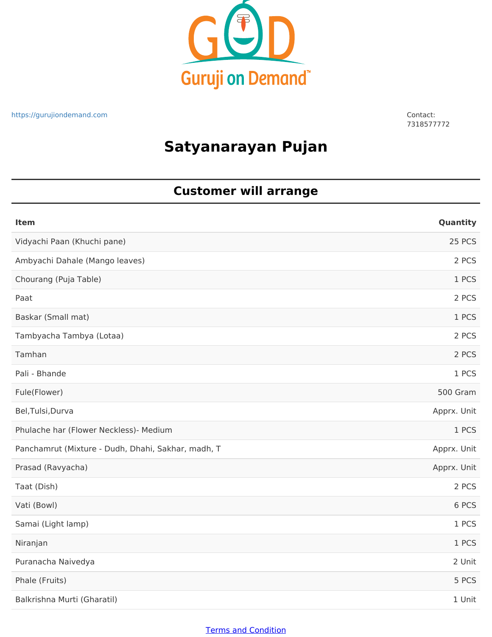

7318577772

## **Satyanarayan Pujan**

### **Customer will arrange**

| <b>Item</b>                                        | Quantity    |
|----------------------------------------------------|-------------|
| Vidyachi Paan (Khuchi pane)                        | 25 PCS      |
| Ambyachi Dahale (Mango leaves)                     | 2 PCS       |
| Chourang (Puja Table)                              | 1 PCS       |
| Paat                                               | 2 PCS       |
| Baskar (Small mat)                                 | 1 PCS       |
| Tambyacha Tambya (Lotaa)                           | 2 PCS       |
| Tamhan                                             | 2 PCS       |
| Pali - Bhande                                      | 1 PCS       |
| Fule(Flower)                                       | 500 Gram    |
| Bel, Tulsi, Durva                                  | Apprx. Unit |
| Phulache har (Flower Neckless)- Medium             | 1 PCS       |
| Panchamrut (Mixture - Dudh, Dhahi, Sakhar, madh, T | Apprx. Unit |
| Prasad (Ravyacha)                                  | Apprx. Unit |
| Taat (Dish)                                        | 2 PCS       |
| Vati (Bowl)                                        | 6 PCS       |
| Samai (Light lamp)                                 | 1 PCS       |
| Niranjan                                           | 1 PCS       |
| Puranacha Naivedya                                 | 2 Unit      |
| Phale (Fruits)                                     | 5 PCS       |
| Balkrishna Murti (Gharatil)                        | 1 Unit      |

#### Terms and Condition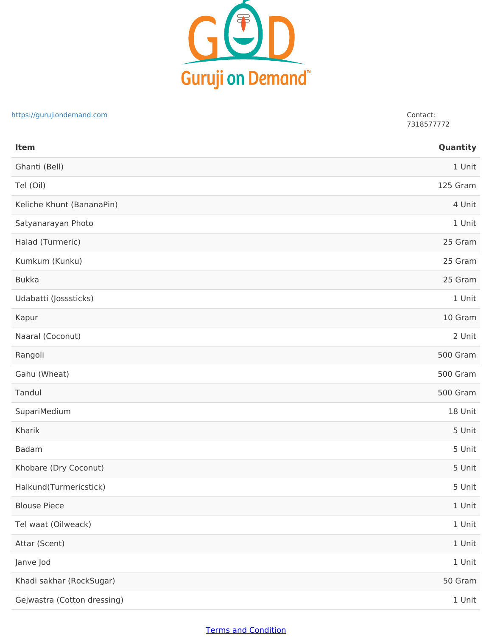

# Ghanti (Bell) 1 Unit Tel (Oil) 125 Gram Keliche Khunt (BananaPin) 4 Unit Satyanarayan Photo 1 Unit Halad (Turmeric) 25 Gram Kumkum (Kunku) 25 Gram Bukka 25 Gram Udabatti (Josssticks) 1 Unit Kapur 10 Gram Naaral (Coconut) 2 Unit Rangoli 500 Gram Gahu (Wheat) 500 Gram Tandul 500 Gram SupariMedium 18 Unit Kharik 5 Unit Badam 5 Unit Khobare (Dry Coconut) 5 Unit Halkund(Turmericstick) 5 Unit Blouse Piece 1 Unit Tel waat (Oilweack) 1 Unit Attar (Scent) 1 Unit Janve Jod 1 Unit Khadi sakhar (RockSugar) 50 Gram Gejwastra (Cotton dressing) and the state of the state of the state of the state of the state of the state of the state of the state of the state of the state of the state of the state of the state of the state of the stat **Item Quantity** https://gurujiondemand.com Contact: 7318577772

### Terms and Condition